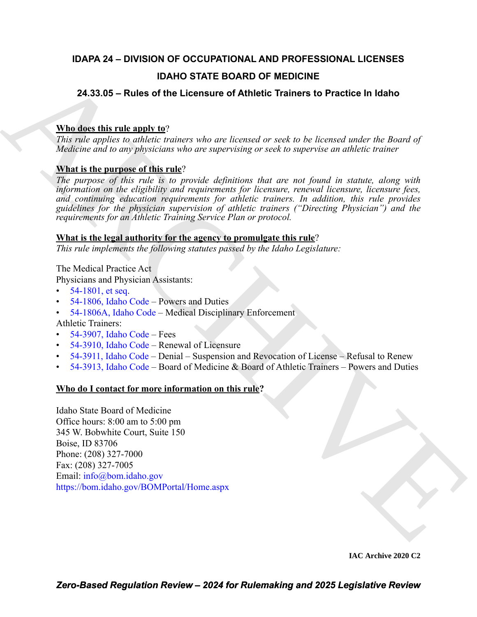# **IDAPA 24 – DIVISION OF OCCUPATIONAL AND PROFESSIONAL LICENSES**

# **IDAHO STATE BOARD OF MEDICINE**

# **24.33.05 – Rules of the Licensure of Athletic Trainers to Practice In Idaho**

# **Who does this rule apply to**?

*This rule applies to athletic trainers who are licensed or seek to be licensed under the Board of Medicine and to any physicians who are supervising or seek to supervise an athletic trainer*

# **What is the purpose of this rule**?

**DAHO STATE BOARD OF MEDI[C](https://legislature.idaho.gov/statutesrules/idstat/Title54/T54CH18/SECT54-1806A/)INE**<br> **24.33.05 – Ruiss of the Licensure of Athletic Trainers to Practice in Idaho**<br> **Number this week opplies to public rooters**, who are licensed or reach in the brewsed scalar the Board of<br>
Al *The purpose of this rule is to provide definitions that are not found in statute, along with information on the eligibility and requirements for licensure, renewal licensure, licensure fees, and continuing education requirements for athletic trainers. In addition, this rule provides guidelines for the physician supervision of athletic trainers ("Directing Physician") and the requirements for an Athletic Training Service Plan or protocol.*

## **What is the legal authority for the agency to promulgate this rule**?

*This rule implements the following statutes passed by the Idaho Legislature:*

The Medical Practice Act Physicians and Physician Assistants:

- 54-1801, et seq.
- 54-1806, Idaho Code Powers and Duties
- 54-1806A, Idaho Code Medical Disciplinary Enforcement

Athletic Trainers:

- $\cdot$  54-3907, Idaho Code Fees
- 54-3910, Idaho Code Renewal of Licensure
- 54-3911, Idaho Code Denial Suspension and Revocation of License Refusal to Renew
- 54-3913, Idaho Code Board of Medicine & Board of Athletic Trainers Powers and Duties

## **Who do I contact for more information on this rule?**

Idaho State Board of Medicine Office hours: 8:00 am to 5:00 pm 345 W. Bobwhite Court, Suite 150 Boise, ID 83706 Phone: (208) 327-7000 Fax: (208) 327-7005 Email: info@bom.idaho.gov https://bom.idaho.gov/BOMPortal/Home.aspx

**IAC Archive 2020 C2**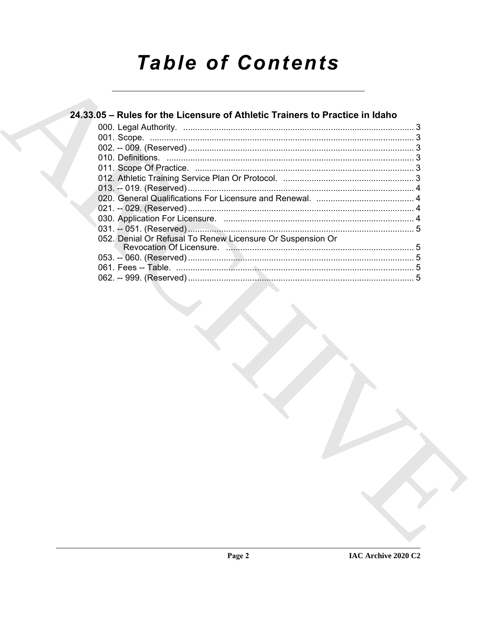# **Table of Contents**

# 24.33.05 – Rules for the Licensure of Athletic Trainers to Practice in Idaho 052. Denial Or Refusal To Renew Licensure Or Suspension Or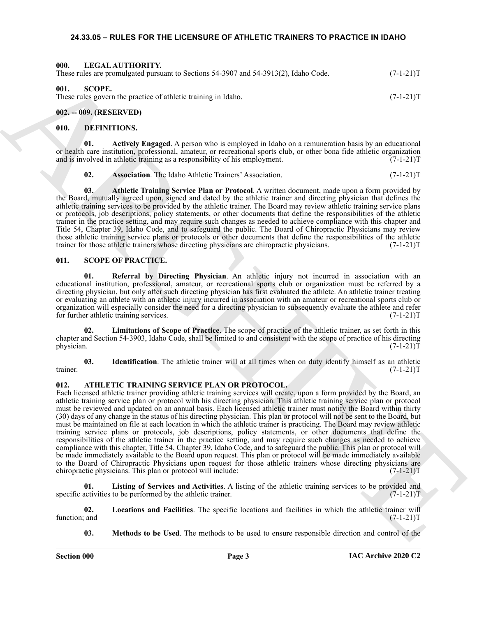### <span id="page-2-15"></span><span id="page-2-0"></span>**24.33.05 – RULES FOR THE LICENSURE OF ATHLETIC TRAINERS TO PRACTICE IN IDAHO**

<span id="page-2-16"></span><span id="page-2-2"></span><span id="page-2-1"></span>

| LEGAL AUTHORITY.<br>000.<br>These rules are promulgated pursuant to Sections 54-3907 and 54-3913(2), Idaho Code. | $(7-1-21)T$ |
|------------------------------------------------------------------------------------------------------------------|-------------|
| 001.<br>SCOPE.<br>These rules govern the practice of athletic training in Idaho.                                 | $(7-1-21)T$ |

#### <span id="page-2-3"></span>**002. -- 009. (RESERVED)**

#### <span id="page-2-11"></span><span id="page-2-4"></span>**010. DEFINITIONS.**

**Actively Engaged.** A person who is employed in Idaho on a remuneration basis by an educational or health care institution, professional, amateur, or recreational sports club, or other bona fide athletic organization and is involved in athletic training as a responsibility of his employment.  $(7-1-21)$ T

#### <span id="page-2-14"></span><span id="page-2-13"></span><span id="page-2-12"></span>**02.** Association. The Idaho Athletic Trainers' Association. (7-1-21)T

**03. Athletic Training Service Plan or Protocol**. A written document, made upon a form provided by the Board, mutually agreed upon, signed and dated by the athletic trainer and directing physician that defines the athletic training services to be provided by the athletic trainer. The Board may review athletic training service plans or protocols, job descriptions, policy statements, or other documents that define the responsibilities of the athletic trainer in the practice setting, and may require such changes as needed to achieve compliance with this chapter and Title 54, Chapter 39, Idaho Code, and to safeguard the public. The Board of Chiropractic Physicians may review those athletic training service plans or protocols or other documents that define the responsibilities of the athletic trainer for those athletic trainers whose directing physicians are chiropractic physicians. (7-1-21)T

#### <span id="page-2-17"></span><span id="page-2-5"></span>**011. SCOPE OF PRACTICE.**

<span id="page-2-20"></span>**01. Referral by Directing Physician**. An athletic injury not incurred in association with an educational institution, professional, amateur, or recreational sports club or organization must be referred by a directing physician, but only after such directing physician has first evaluated the athlete. An athletic trainer treating or evaluating an athlete with an athletic injury incurred in association with an amateur or recreational sports club or organization will especially consider the need for a directing physician to subsequently evaluate the athlete and refer for further athletic training services. (7-1-21)T

<span id="page-2-19"></span>**02. Limitations of Scope of Practice**. The scope of practice of the athletic trainer, as set forth in this chapter and Section 54-3903, Idaho Code, shall be limited to and consistent with the scope of practice of his directing physician. (7-1-21)T

<span id="page-2-18"></span>**03. Identification**. The athletic trainer will at all times when on duty identify himself as an athletic trainer. (7-1-21)T

## <span id="page-2-7"></span><span id="page-2-6"></span>**012. ATHLETIC TRAINING SERVICE PLAN OR PROTOCOL.**

Hence the power to the second of the second state of the second state of the second state of the second state of the second state of the second state of the second state of the second state of the second state of the seco Each licensed athletic trainer providing athletic training services will create, upon a form provided by the Board, an athletic training service plan or protocol with his directing physician. This athletic training service plan or protocol must be reviewed and updated on an annual basis. Each licensed athletic trainer must notify the Board within thirty (30) days of any change in the status of his directing physician. This plan or protocol will not be sent to the Board, but must be maintained on file at each location in which the athletic trainer is practicing. The Board may review athletic training service plans or protocols, job descriptions, policy statements, or other documents that define the responsibilities of the athletic trainer in the practice setting, and may require such changes as needed to achieve compliance with this chapter, Title 54, Chapter 39, Idaho Code, and to safeguard the public. This plan or protocol will be made immediately available to the Board upon request. This plan or protocol will be made immediately available to the Board of Chiropractic Physicians upon request for those athletic trainers whose directing physicians are chiropractic physicians. This plan or protocol will include: (7-1-21)T

<span id="page-2-8"></span>**01. Listing of Services and Activities**. A listing of the athletic training services to be provided and specific activities to be performed by the athletic trainer.

**02.** Locations and Facilities. The specific locations and facilities in which the athletic trainer will function; and  $(7-1-21)T$ function; and  $(7-1-21)$ T

<span id="page-2-10"></span><span id="page-2-9"></span>**03. Methods to be Used**. The methods to be used to ensure responsible direction and control of the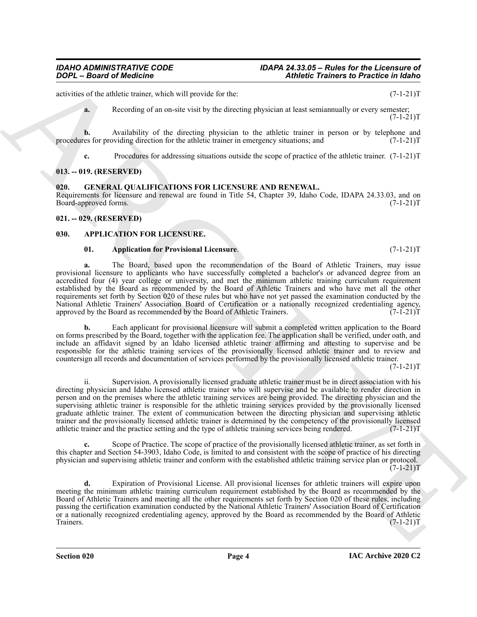activities of the athletic trainer, which will provide for the: (7-1-21)T

**a.** Recording of an on-site visit by the directing physician at least semiannually or every semester;  $(7-1-21)T$ 

**b.** Availability of the directing physician to the athletic trainer in person or by telephone and es for providing direction for the athletic trainer in emergency situations; and  $(7-1-21)$ procedures for providing direction for the athletic trainer in emergency situations; and

<span id="page-3-6"></span>**c.** Procedures for addressing situations outside the scope of practice of the athletic trainer. (7-1-21)T

#### <span id="page-3-0"></span>**013. -- 019. (RESERVED)**

#### <span id="page-3-1"></span>**020. GENERAL QUALIFICATIONS FOR LICENSURE AND RENEWAL.**

Requirements for licensure and renewal are found in Title 54, Chapter 39, Idaho Code, IDAPA 24.33.03, and on Board-approved forms. (7-1-21)T

<span id="page-3-2"></span>**021. -- 029. (RESERVED)**

#### <span id="page-3-3"></span>**030. APPLICATION FOR LICENSURE.**

### <span id="page-3-5"></span><span id="page-3-4"></span>**01. Application for Provisional Licensure**. (7-1-21)T

**a.** The Board, based upon the recommendation of the Board of Athletic Trainers, may issue provisional licensure to applicants who have successfully completed a bachelor's or advanced degree from an accredited four (4) year college or university, and met the minimum athletic training curriculum requirement established by the Board as recommended by the Board of Athletic Trainers and who have met all the other requirements set forth by Section 020 of these rules but who have not yet passed the examination conducted by the National Athletic Trainers' Association Board of Certification or a nationally recognized credentialing agency, approved by the Board as recommended by the Board of Athletic Trainers. (7-1-21) approved by the Board as recommended by the Board of Athletic Trainers.

**b.** Each applicant for provisional licensure will submit a completed written application to the Board on forms prescribed by the Board, together with the application fee. The application shall be verified, under oath, and include an affidavit signed by an Idaho licensed athletic trainer affirming and attesting to supervise and be responsible for the athletic training services of the provisionally licensed athletic trainer and to review and countersign all records and documentation of services performed by the provisionally licensed athletic trainer.

 $(7-1-21)T$ 

**2004** - Branch of Medicine and the time and the state of the state and properties in the state of the state of the state of the state of the state of the state of the state of the state of the state of the state of the s ii. Supervision. A provisionally licensed graduate athletic trainer must be in direct association with his directing physician and Idaho licensed athletic trainer who will supervise and be available to render direction in person and on the premises where the athletic training services are being provided. The directing physician and the supervising athletic trainer is responsible for the athletic training services provided by the provisionally licensed graduate athletic trainer. The extent of communication between the directing physician and supervising athletic trainer and the provisionally licensed athletic trainer is determined by the competency of the provisionally licensed athletic trainer and the practice setting and the type of athletic training services being rendered.  $(7$ athletic trainer and the practice setting and the type of athletic training services being rendered.

**c.** Scope of Practice. The scope of practice of the provisionally licensed athletic trainer, as set forth in this chapter and Section 54-3903, Idaho Code, is limited to and consistent with the scope of practice of his directing physician and supervising athletic trainer and conform with the established athletic training service plan or protocol.  $(7-1-21)T$ 

**d.** Expiration of Provisional License. All provisional licenses for athletic trainers will expire upon meeting the minimum athletic training curriculum requirement established by the Board as recommended by the Board of Athletic Trainers and meeting all the other requirements set forth by Section 020 of these rules, including passing the certification examination conducted by the National Athletic Trainers' Association Board of Certification or a nationally recognized credentialing agency, approved by the Board as recommended by the Board of Athletic<br>Trainers. (7-1-21)T Trainers. (7-1-21)T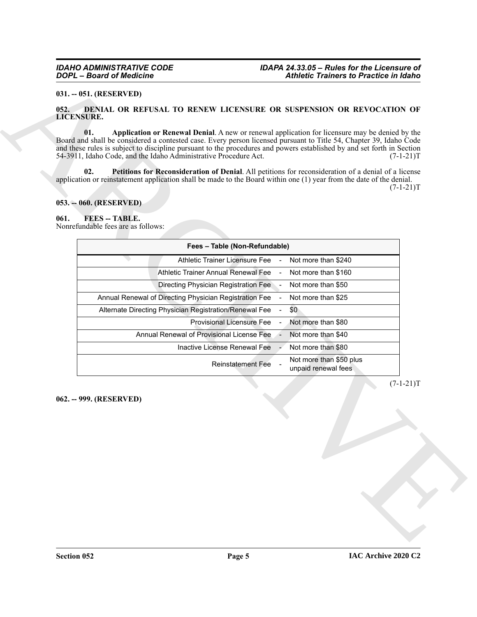### <span id="page-4-0"></span>**031. -- 051. (RESERVED)**

#### <span id="page-4-6"></span><span id="page-4-5"></span><span id="page-4-1"></span>**052. DENIAL OR REFUSAL TO RENEW LICENSURE OR SUSPENSION OR REVOCATION OF LICENSURE.**

#### <span id="page-4-7"></span><span id="page-4-2"></span>**053. -- 060. (RESERVED)**

#### <span id="page-4-4"></span><span id="page-4-3"></span>**061. FEES -- TABLE.**

| <b>DOPL</b> - Board of Medicine                                                                                               | <b>Athletic Trainers to Practice in Idaho</b>                                                                                                                                                                                                                                                                                                                 |
|-------------------------------------------------------------------------------------------------------------------------------|---------------------------------------------------------------------------------------------------------------------------------------------------------------------------------------------------------------------------------------------------------------------------------------------------------------------------------------------------------------|
| 031. -- 051. (RESERVED)                                                                                                       |                                                                                                                                                                                                                                                                                                                                                               |
| 052.<br><b>LICENSURE.</b>                                                                                                     | <b>DENIAL OR REFUSAL TO RENEW LICENSURE OR SUSPENSION OR REVOCATION OF</b>                                                                                                                                                                                                                                                                                    |
| 01.<br>54-3911, Idaho Code, and the Idaho Administrative Procedure Act.                                                       | Application or Renewal Denial. A new or renewal application for licensure may be denied by the<br>Board and shall be considered a contested case. Every person licensed pursuant to Title 54, Chapter 39, Idaho Code<br>and these rules is subject to discipline pursuant to the procedures and powers established by and set forth in Section<br>$(7-1-21)T$ |
| 02.<br>application or reinstatement application shall be made to the Board within one $(1)$ year from the date of the denial. | Petitions for Reconsideration of Denial. All petitions for reconsideration of a denial of a license<br>$(7-1-21)T$                                                                                                                                                                                                                                            |
| 053. -- 060. (RESERVED)                                                                                                       |                                                                                                                                                                                                                                                                                                                                                               |
| <b>FEES-TABLE.</b><br>061.<br>Nonrefundable fees are as follows:                                                              |                                                                                                                                                                                                                                                                                                                                                               |
|                                                                                                                               | Fees - Table (Non-Refundable)                                                                                                                                                                                                                                                                                                                                 |
| Athletic Trainer Licensure Fee                                                                                                | Not more than \$240                                                                                                                                                                                                                                                                                                                                           |
| Athletic Trainer Annual Renewal Fee                                                                                           | Not more than \$160                                                                                                                                                                                                                                                                                                                                           |
| Directing Physician Registration Fee                                                                                          | Not more than \$50                                                                                                                                                                                                                                                                                                                                            |
| Annual Renewal of Directing Physician Registration Fee                                                                        | Not more than \$25                                                                                                                                                                                                                                                                                                                                            |
| Alternate Directing Physician Registration/Renewal Fee                                                                        | \$0                                                                                                                                                                                                                                                                                                                                                           |
| Provisional Licensure Fee                                                                                                     | Not more than \$80                                                                                                                                                                                                                                                                                                                                            |
| Annual Renewal of Provisional License Fee<br>Inactive License Renewal Fee                                                     | Not more than \$40                                                                                                                                                                                                                                                                                                                                            |
|                                                                                                                               | Not more than \$80<br>Not more than \$50 plus<br>Reinstatement Fee<br>unpaid renewal fees                                                                                                                                                                                                                                                                     |
|                                                                                                                               |                                                                                                                                                                                                                                                                                                                                                               |
| 062. -- 999. (RESERVED)                                                                                                       | $(7-1-21)T$                                                                                                                                                                                                                                                                                                                                                   |
|                                                                                                                               |                                                                                                                                                                                                                                                                                                                                                               |
|                                                                                                                               |                                                                                                                                                                                                                                                                                                                                                               |
|                                                                                                                               |                                                                                                                                                                                                                                                                                                                                                               |
|                                                                                                                               |                                                                                                                                                                                                                                                                                                                                                               |
|                                                                                                                               |                                                                                                                                                                                                                                                                                                                                                               |
|                                                                                                                               |                                                                                                                                                                                                                                                                                                                                                               |
|                                                                                                                               |                                                                                                                                                                                                                                                                                                                                                               |
|                                                                                                                               |                                                                                                                                                                                                                                                                                                                                                               |
|                                                                                                                               |                                                                                                                                                                                                                                                                                                                                                               |
|                                                                                                                               |                                                                                                                                                                                                                                                                                                                                                               |